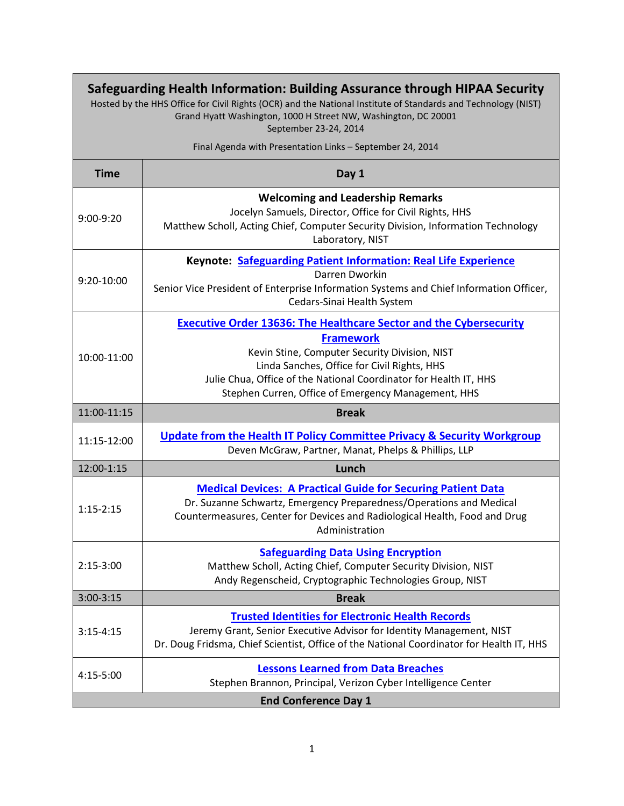| Safeguarding Health Information: Building Assurance through HIPAA Security<br>Hosted by the HHS Office for Civil Rights (OCR) and the National Institute of Standards and Technology (NIST)<br>Grand Hyatt Washington, 1000 H Street NW, Washington, DC 20001<br>September 23-24, 2014 |                                                                                                                                                                                                                                                                                                                           |  |
|----------------------------------------------------------------------------------------------------------------------------------------------------------------------------------------------------------------------------------------------------------------------------------------|---------------------------------------------------------------------------------------------------------------------------------------------------------------------------------------------------------------------------------------------------------------------------------------------------------------------------|--|
| Final Agenda with Presentation Links - September 24, 2014                                                                                                                                                                                                                              |                                                                                                                                                                                                                                                                                                                           |  |
| <b>Time</b>                                                                                                                                                                                                                                                                            | Day 1                                                                                                                                                                                                                                                                                                                     |  |
| $9:00-9:20$                                                                                                                                                                                                                                                                            | <b>Welcoming and Leadership Remarks</b><br>Jocelyn Samuels, Director, Office for Civil Rights, HHS<br>Matthew Scholl, Acting Chief, Computer Security Division, Information Technology<br>Laboratory, NIST                                                                                                                |  |
| 9:20-10:00                                                                                                                                                                                                                                                                             | Keynote: Safeguarding Patient Information: Real Life Experience<br>Darren Dworkin<br>Senior Vice President of Enterprise Information Systems and Chief Information Officer,<br>Cedars-Sinai Health System                                                                                                                 |  |
| 10:00-11:00                                                                                                                                                                                                                                                                            | <b>Executive Order 13636: The Healthcare Sector and the Cybersecurity</b><br><b>Framework</b><br>Kevin Stine, Computer Security Division, NIST<br>Linda Sanches, Office for Civil Rights, HHS<br>Julie Chua, Office of the National Coordinator for Health IT, HHS<br>Stephen Curren, Office of Emergency Management, HHS |  |
| 11:00-11:15                                                                                                                                                                                                                                                                            | <b>Break</b>                                                                                                                                                                                                                                                                                                              |  |
| 11:15-12:00                                                                                                                                                                                                                                                                            | <b>Update from the Health IT Policy Committee Privacy &amp; Security Workgroup</b><br>Deven McGraw, Partner, Manat, Phelps & Phillips, LLP                                                                                                                                                                                |  |
| 12:00-1:15                                                                                                                                                                                                                                                                             | Lunch                                                                                                                                                                                                                                                                                                                     |  |
| $1:15-2:15$                                                                                                                                                                                                                                                                            | <b>Medical Devices: A Practical Guide for Securing Patient Data</b><br>Dr. Suzanne Schwartz, Emergency Preparedness/Operations and Medical<br>Countermeasures, Center for Devices and Radiological Health, Food and Drug<br>Administration                                                                                |  |
| $2:15-3:00$                                                                                                                                                                                                                                                                            | <b>Safeguarding Data Using Encryption</b><br>Matthew Scholl, Acting Chief, Computer Security Division, NIST<br>Andy Regenscheid, Cryptographic Technologies Group, NIST                                                                                                                                                   |  |
| $3:00-3:15$                                                                                                                                                                                                                                                                            | <b>Break</b>                                                                                                                                                                                                                                                                                                              |  |
| $3:15 - 4:15$                                                                                                                                                                                                                                                                          | <b>Trusted Identities for Electronic Health Records</b><br>Jeremy Grant, Senior Executive Advisor for Identity Management, NIST<br>Dr. Doug Fridsma, Chief Scientist, Office of the National Coordinator for Health IT, HHS                                                                                               |  |
| 4:15-5:00                                                                                                                                                                                                                                                                              | <b>Lessons Learned from Data Breaches</b><br>Stephen Brannon, Principal, Verizon Cyber Intelligence Center                                                                                                                                                                                                                |  |
| <b>End Conference Day 1</b>                                                                                                                                                                                                                                                            |                                                                                                                                                                                                                                                                                                                           |  |